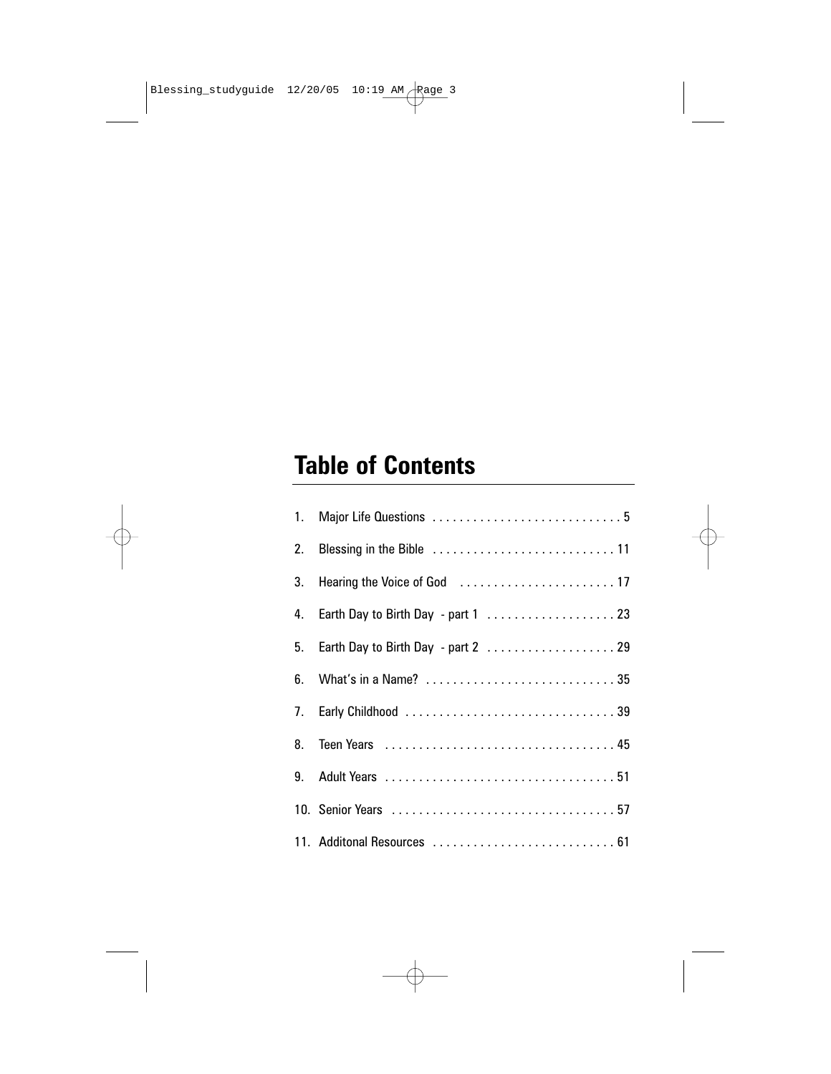## **Table of Contents**

|    | 4. Earth Day to Birth Day - part 1  23 |
|----|----------------------------------------|
| 5. | Earth Day to Birth Day - part 2  29    |
|    |                                        |
|    |                                        |
|    |                                        |
|    |                                        |
|    |                                        |
|    | 11. Additonal Resources  61            |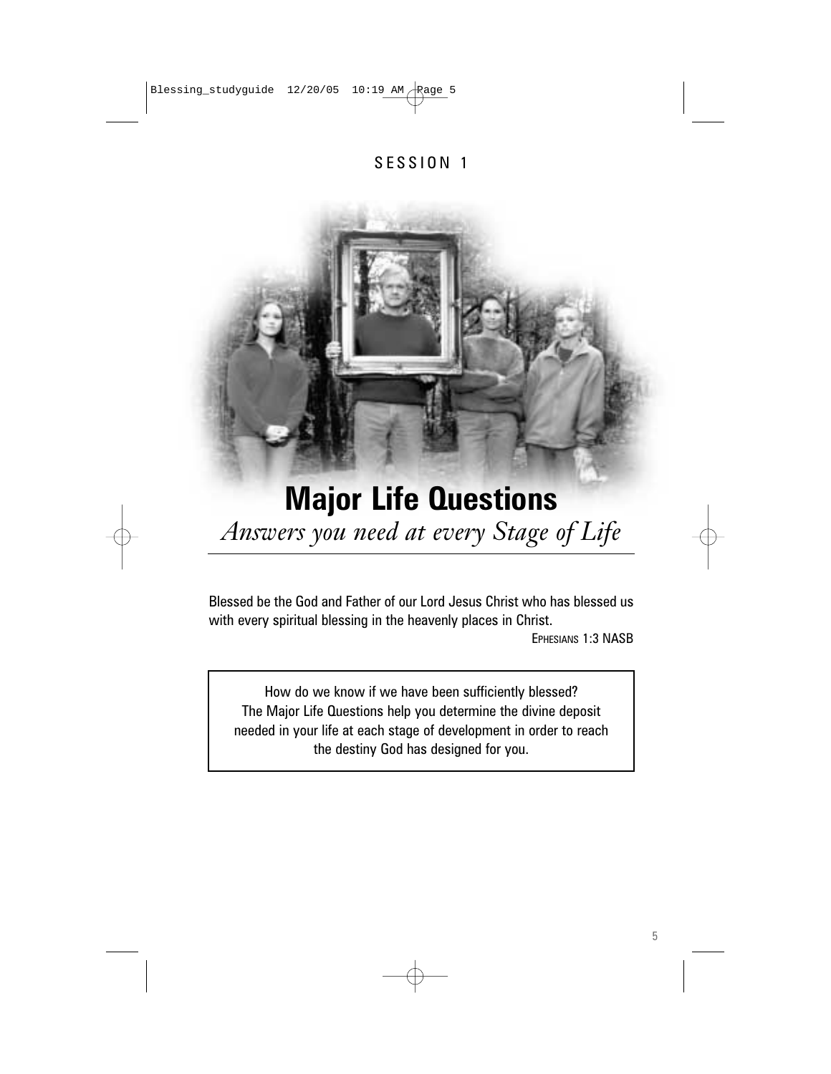#### SESSION 1

# **Major Life Questions** *Answers you need at every Stage of Life*

Blessed be the God and Father of our Lord Jesus Christ who has blessed us with every spiritual blessing in the heavenly places in Christ. EPHESIANS 1:3 NASB

How do we know if we have been sufficiently blessed? The Major Life Questions help you determine the divine deposit needed in your life at each stage of development in order to reach the destiny God has designed for you.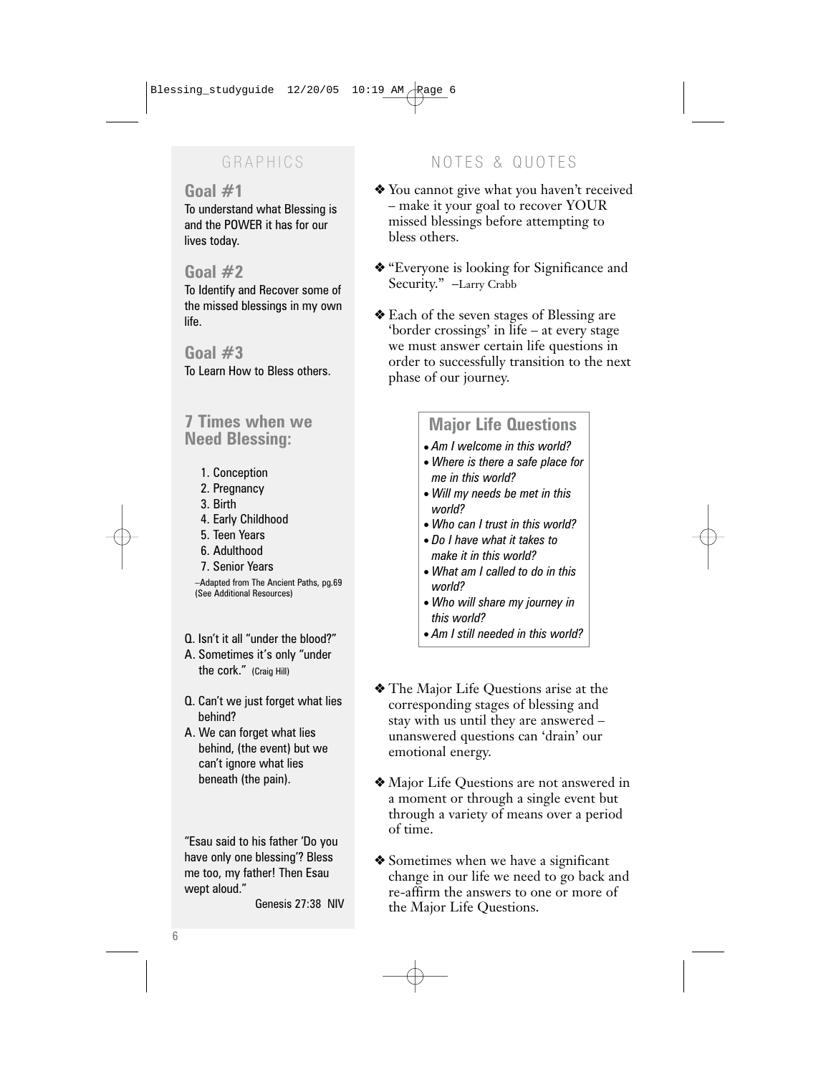#### **Goal #1**

To understand what Blessing is and the POWER it has for our lives today.

#### **Goal #2**

To Identify and Recover some of the missed blessings in my own life.

### **Goal #3**

To Learn How to Bless others.

### **7 Times when we Need Blessing:**

- 1. Conception
- 2. Pregnancy
- 3. Birth
- 4. Early Childhood
- 5. Teen Years
- 6. Adulthood
- 7. Senior Years

–Adapted from The Ancient Paths, pg.69 (See Additional Resources)

- Q. Isn't it all "under the blood?"
- A. Sometimes it's only "under the cork." (Craig Hill)
- Q. Can't we just forget what lies behind?
- A. We can forget what lies behind, (the event) but we can't ignore what lies beneath (the pain).

"Esau said to his father 'Do you have only one blessing'? Bless me too, my father! Then Esau wept aloud."

Genesis 27:38 NIV

### GRAPHICS NOTES & QUOTES

- ❖ You cannot give what you haven't received – make it your goal to recover YOUR missed blessings before attempting to bless others.
- ❖ "Everyone is looking for Significance and Security." –Larry Crabb
- ❖ Each of the seven stages of Blessing are 'border crossings' in life – at every stage we must answer certain life questions in order to successfully transition to the next phase of our journey.

### **Major Life Questions**

- *Am I welcome in this world?*
- *Where is there a safe place for me in this world?*
- *Will my needs be met in this world?*
- *Who can I trust in this world?*
- *Do I have what it takes to make it in this world?*
- *What am I called to do in this world?*
- *Who will share my journey in this world?*
- *Am I still needed in this world?*
- ❖ The Major Life Questions arise at the corresponding stages of blessing and stay with us until they are answered – unanswered questions can 'drain' our emotional energy.
- ❖ Major Life Questions are not answered in a moment or through a single event but through a variety of means over a period of time.
- ❖ Sometimes when we have a significant change in our life we need to go back and re-affirm the answers to one or more of the Major Life Questions.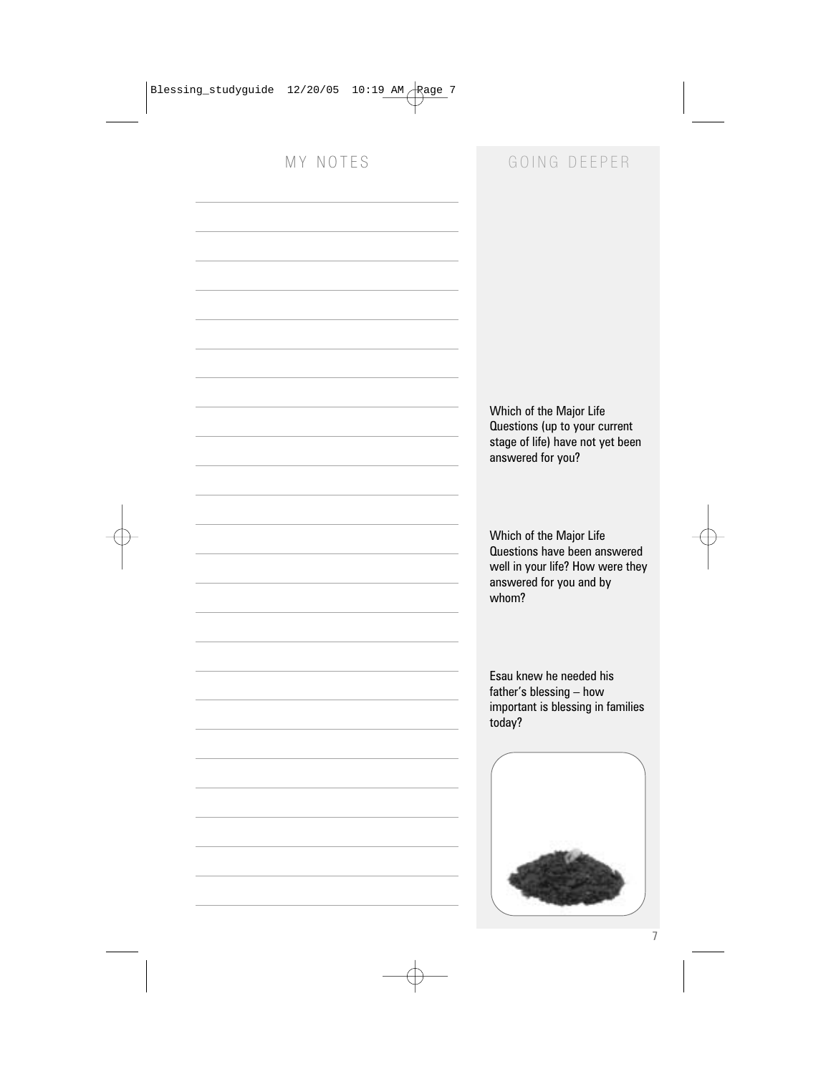### MY NOTES GOING DEEPER

Which of the Major Life Questions (up to your current stage of life) have not yet been answered for you?

Which of the Major Life Questions have been answered well in your life? How were they answered for you and by whom?

Esau knew he needed his father's blessing – how important is blessing in families today?

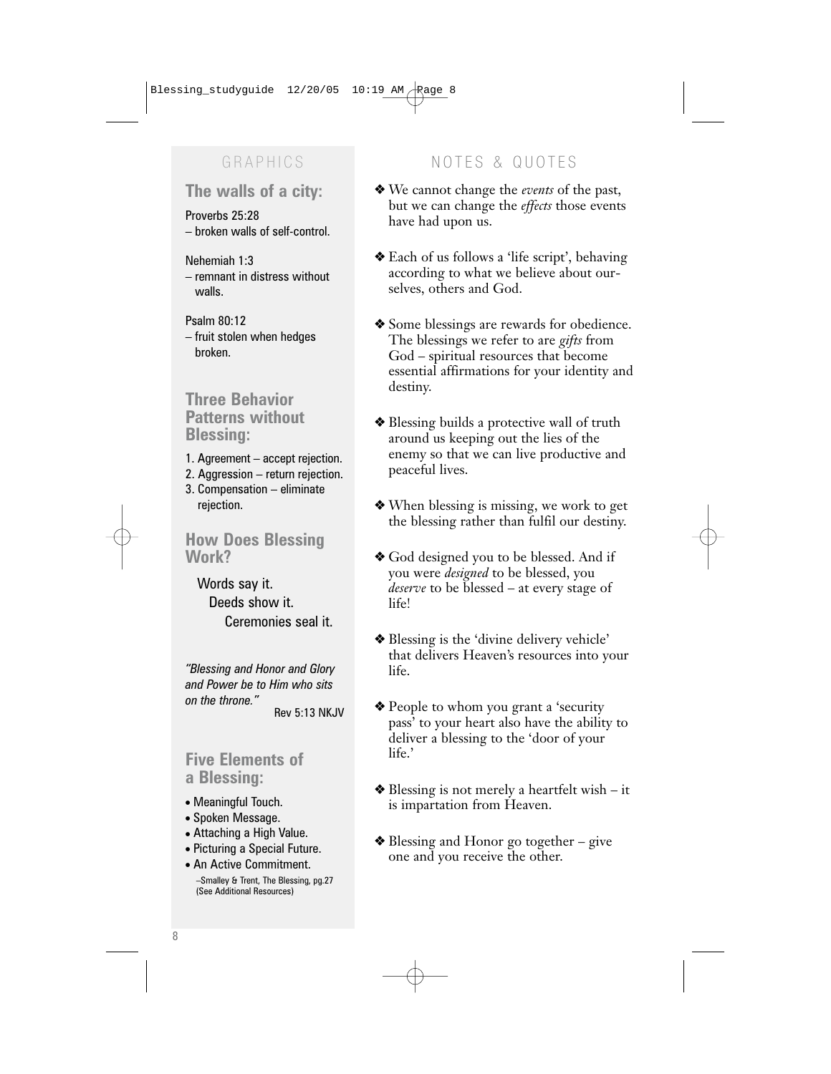### **The walls of a city:**

Proverbs 25:28 – broken walls of self-control.

#### Nehemiah 1:3

- remnant in distress without walls.
- Psalm 80:12
- fruit stolen when hedges broken.

#### **Three Behavior Patterns without Blessing:**

- 1. Agreement accept rejection.
- 2. Aggression return rejection.
- 3. Compensation eliminate rejection.

#### **How Does Blessing Work?**

Words say it. Deeds show it. Ceremonies seal it.

*"Blessing and Honor and Glory and Power be to Him who sits on the throne."* Rev 5:13 NKJV

### **Five Elements of a Blessing:**

- Meaningful Touch.
- Spoken Message.
- Attaching a High Value.
- Picturing a Special Future.
- An Active Commitment.

–Smalley & Trent, The Blessing, pg.27 (See Additional Resources)

### GRAPHICS NOTES & QUOTES

- ❖ We cannot change the *events* of the past, but we can change the *effects* those events have had upon us.
- ❖ Each of us follows a 'life script', behaving according to what we believe about ourselves, others and God.
- ❖ Some blessings are rewards for obedience. The blessings we refer to are *gifts* from God – spiritual resources that become essential affirmations for your identity and destiny.
- ❖ Blessing builds a protective wall of truth around us keeping out the lies of the enemy so that we can live productive and peaceful lives.
- ❖ When blessing is missing, we work to get the blessing rather than fulfil our destiny.
- ❖ God designed you to be blessed. And if you were *designed* to be blessed, you *deserve* to be blessed – at every stage of life!
- ❖ Blessing is the 'divine delivery vehicle' that delivers Heaven's resources into your life.
- ❖ People to whom you grant a 'security pass' to your heart also have the ability to deliver a blessing to the 'door of your life.'
- ❖ Blessing is not merely a heartfelt wish it is impartation from Heaven.
- ❖ Blessing and Honor go together give one and you receive the other.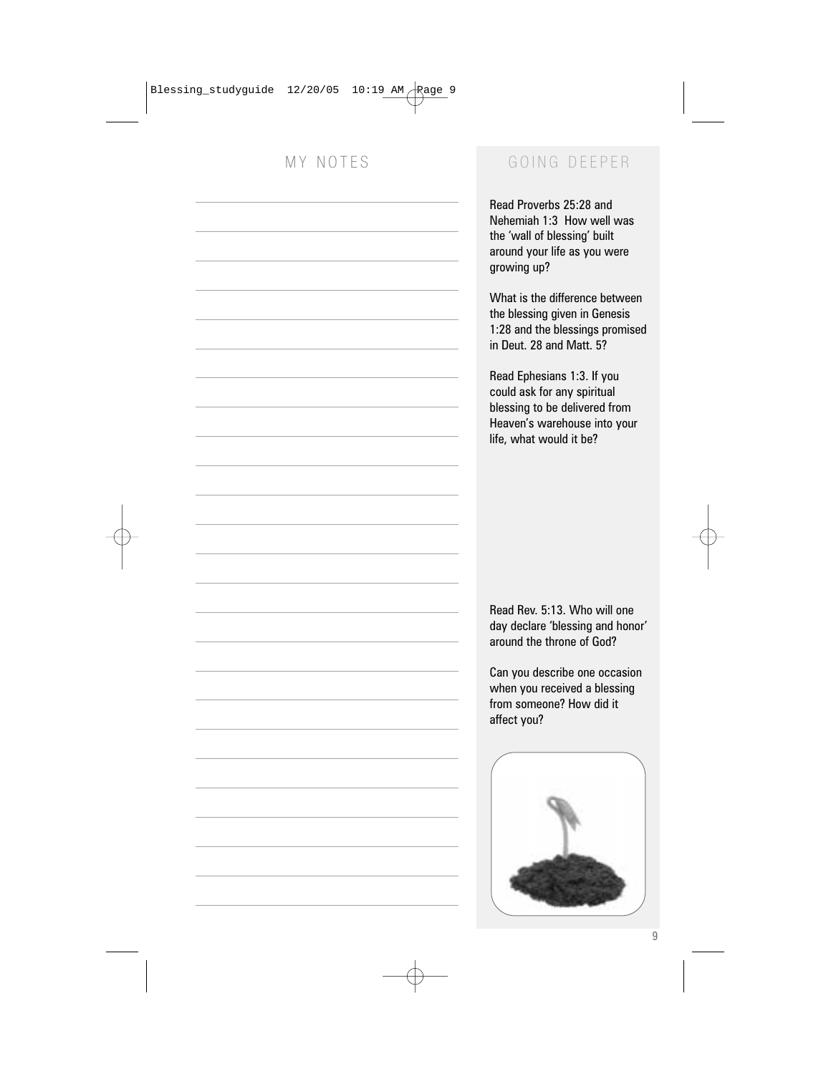### MY NOTES GOING DEEPER

Read Proverbs 25:28 and Nehemiah 1:3 How well was the 'wall of blessing' built around your life as you were growing up?

What is the difference between the blessing given in Genesis 1:28 and the blessings promised in Deut. 28 and Matt. 5?

Read Ephesians 1:3. If you could ask for any spiritual blessing to be delivered from Heaven's warehouse into your life, what would it be?

Read Rev. 5:13. Who will one day declare 'blessing and honor' around the throne of God?

Can you describe one occasion when you received a blessing from someone? How did it affect you?

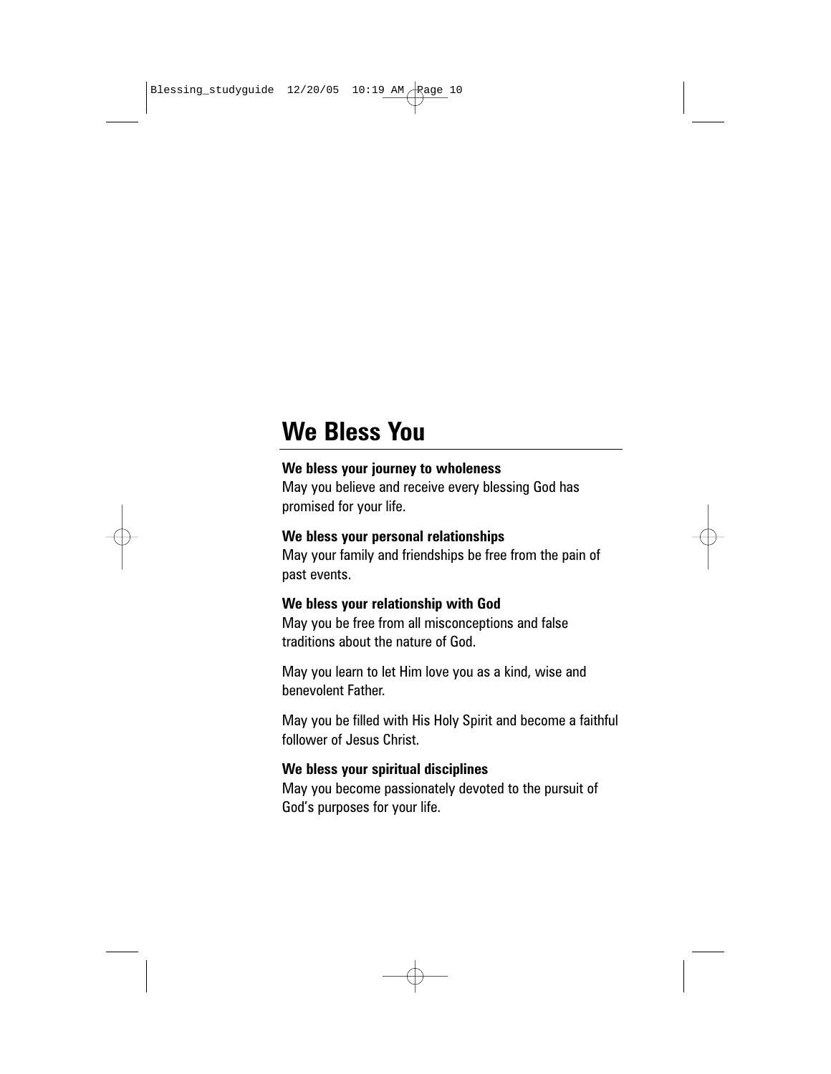## **We Bless You**

#### **We bless your journey to wholeness**

May you believe and receive every blessing God has promised for your life.

#### **We bless your personal relationships**

May your family and friendships be free from the pain of past events.

#### **We bless your relationship with God**

May you be free from all misconceptions and false traditions about the nature of God.

May you learn to let Him love you as a kind, wise and benevolent Father.

May you be filled with His Holy Spirit and become a faithful follower of Jesus Christ.

#### **We bless your spiritual disciplines**

May you become passionately devoted to the pursuit of God's purposes for your life.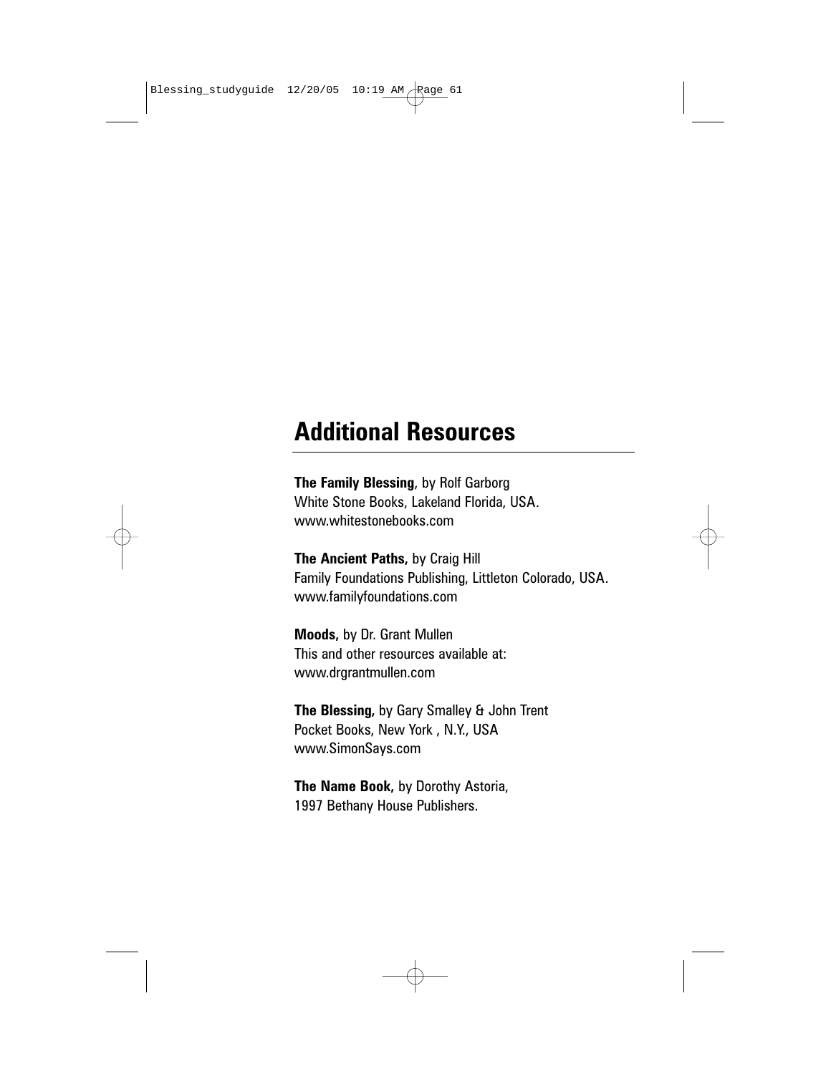### **Additional Resources**

**The Family Blessing**, by Rolf Garborg White Stone Books, Lakeland Florida, USA. www.whitestonebooks.com

**The Ancient Paths,** by Craig Hill Family Foundations Publishing, Littleton Colorado, USA. www.familyfoundations.com

**Moods,** by Dr. Grant Mullen This and other resources available at: www.drgrantmullen.com

**The Blessing,** by Gary Smalley & John Trent Pocket Books, New York , N.Y., USA www.SimonSays.com

**The Name Book,** by Dorothy Astoria, 1997 Bethany House Publishers.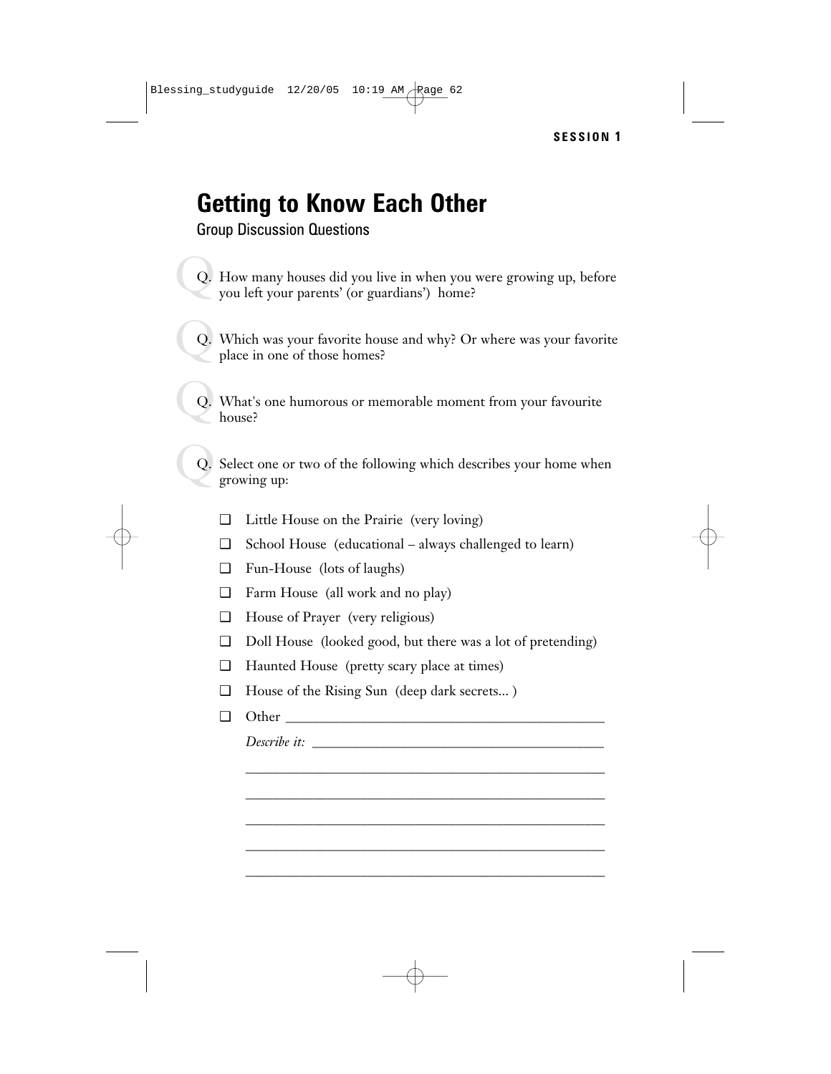# **Getting to Know Each Other**

Group Discussion Questions

- $\bigcirc$ Q. How many houses did you live in when you were growing up, before you left your parents' (or guardians') home?
- $\bigcirc$ Q. Which was your favorite house and why? Or where was your favorite place in one of those homes?
- $\bigcirc$ Q. What's one humorous or memorable moment from your favourite house?
- $\bigcirc$ Q. Select one or two of the following which describes your home when growing up:
	- ❑ Little House on the Prairie (very loving)
	- ❑ School House (educational always challenged to learn)
	- ❑ Fun-House (lots of laughs)
	- ❑ Farm House (all work and no play)
	- ❑ House of Prayer (very religious)
	- ❑ Doll House (looked good, but there was a lot of pretending)

\_\_\_\_\_\_\_\_\_\_\_\_\_\_\_\_\_\_\_\_\_\_\_\_\_\_\_\_\_\_\_\_\_\_\_\_\_\_\_\_\_\_\_\_\_\_\_\_\_\_\_\_\_ \_\_\_\_\_\_\_\_\_\_\_\_\_\_\_\_\_\_\_\_\_\_\_\_\_\_\_\_\_\_\_\_\_\_\_\_\_\_\_\_\_\_\_\_\_\_\_\_\_\_\_\_\_ \_\_\_\_\_\_\_\_\_\_\_\_\_\_\_\_\_\_\_\_\_\_\_\_\_\_\_\_\_\_\_\_\_\_\_\_\_\_\_\_\_\_\_\_\_\_\_\_\_\_\_\_\_ \_\_\_\_\_\_\_\_\_\_\_\_\_\_\_\_\_\_\_\_\_\_\_\_\_\_\_\_\_\_\_\_\_\_\_\_\_\_\_\_\_\_\_\_\_\_\_\_\_\_\_\_\_ \_\_\_\_\_\_\_\_\_\_\_\_\_\_\_\_\_\_\_\_\_\_\_\_\_\_\_\_\_\_\_\_\_\_\_\_\_\_\_\_\_\_\_\_\_\_\_\_\_\_\_\_\_

- ❑ Haunted House (pretty scary place at times)
- ❑ House of the Rising Sun (deep dark secrets... )
- $\Box$  Other

*Describe it:* \_\_\_\_\_\_\_\_\_\_\_\_\_\_\_\_\_\_\_\_\_\_\_\_\_\_\_\_\_\_\_\_\_\_\_\_\_\_\_\_\_\_\_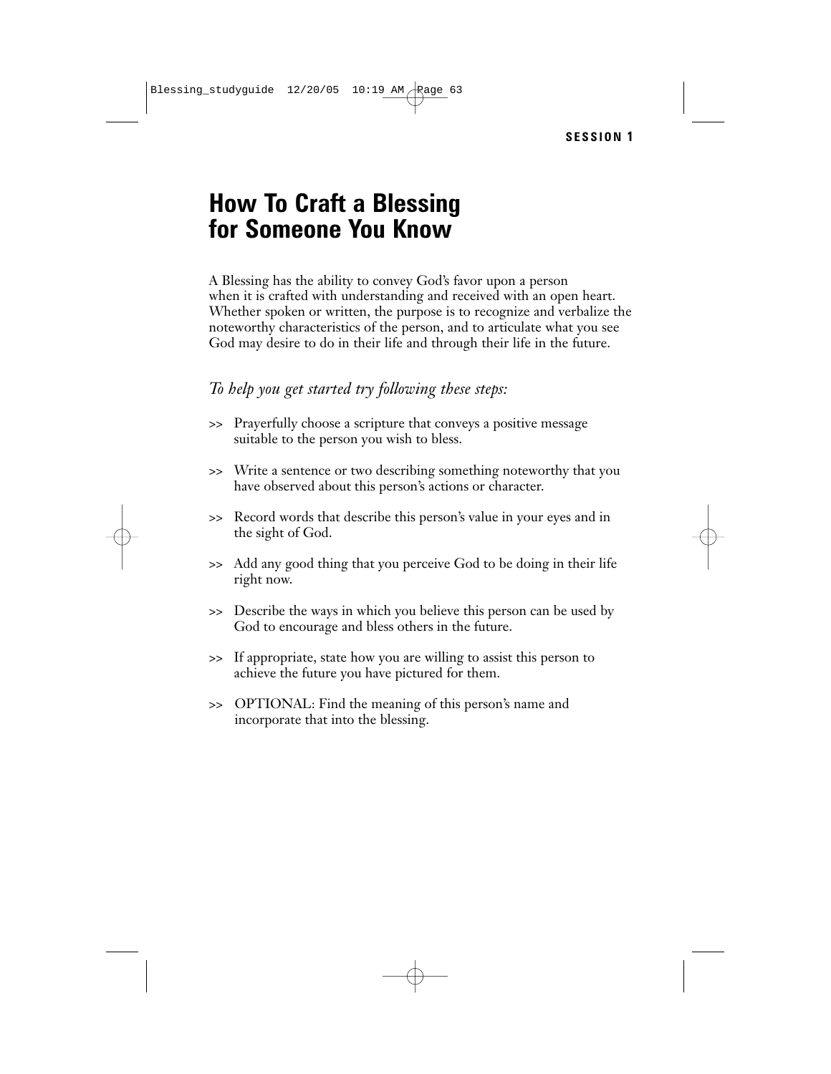### **How To Craft a Blessing for Someone You Know**

A Blessing has the ability to convey God's favor upon a person when it is crafted with understanding and received with an open heart. Whether spoken or written, the purpose is to recognize and verbalize the noteworthy characteristics of the person, and to articulate what you see God may desire to do in their life and through their life in the future.

#### *To help you get started try following these steps:*

- >> Prayerfully choose a scripture that conveys a positive message suitable to the person you wish to bless.
- >> Write a sentence or two describing something noteworthy that you have observed about this person's actions or character.
- >> Record words that describe this person's value in your eyes and in the sight of God.
- >> Add any good thing that you perceive God to be doing in their life right now.
- >> Describe the ways in which you believe this person can be used by God to encourage and bless others in the future.
- >> If appropriate, state how you are willing to assist this person to achieve the future you have pictured for them.
- >> OPTIONAL: Find the meaning of this person's name and incorporate that into the blessing.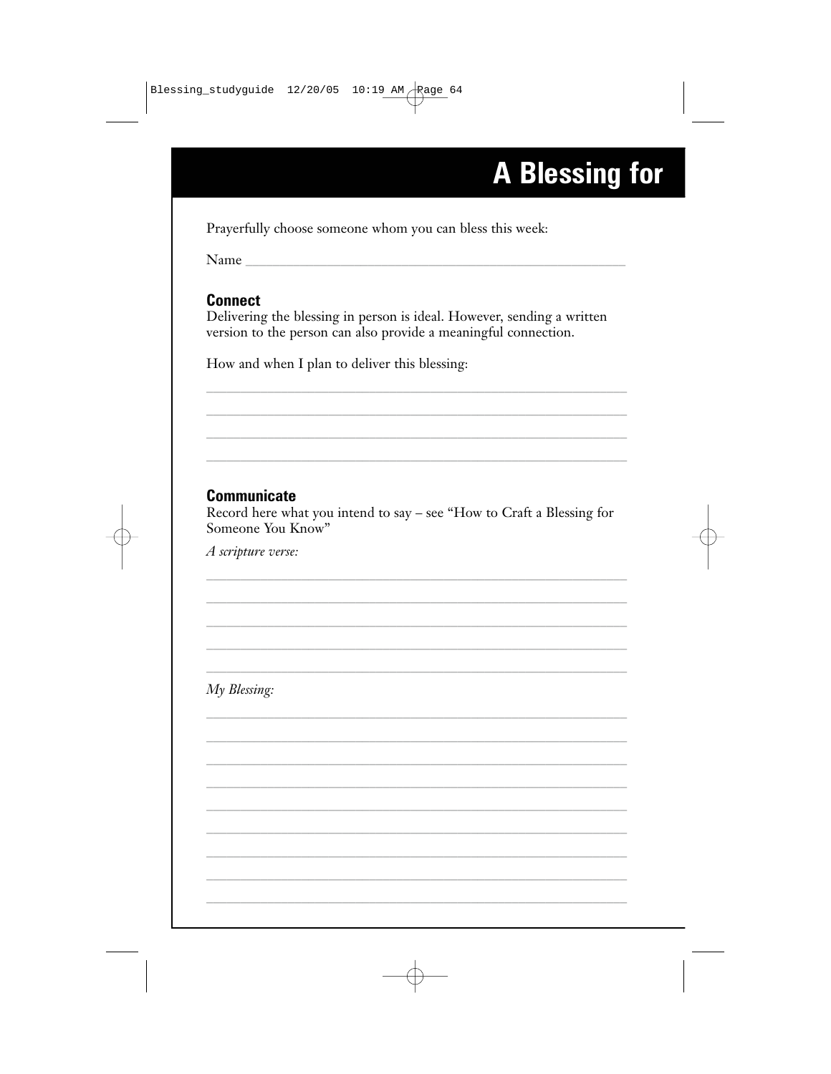# **A Blessing for**

Prayerfully choose someone whom you can bless this week:

Name

#### **Connect**

Delivering the blessing in person is ideal. However, sending a written version to the person can also provide a meaningful connection.

How and when I plan to deliver this blessing:

### **Communicate**

Record here what you intend to say - see "How to Craft a Blessing for Someone You Know"

A scripture verse:

My Blessing: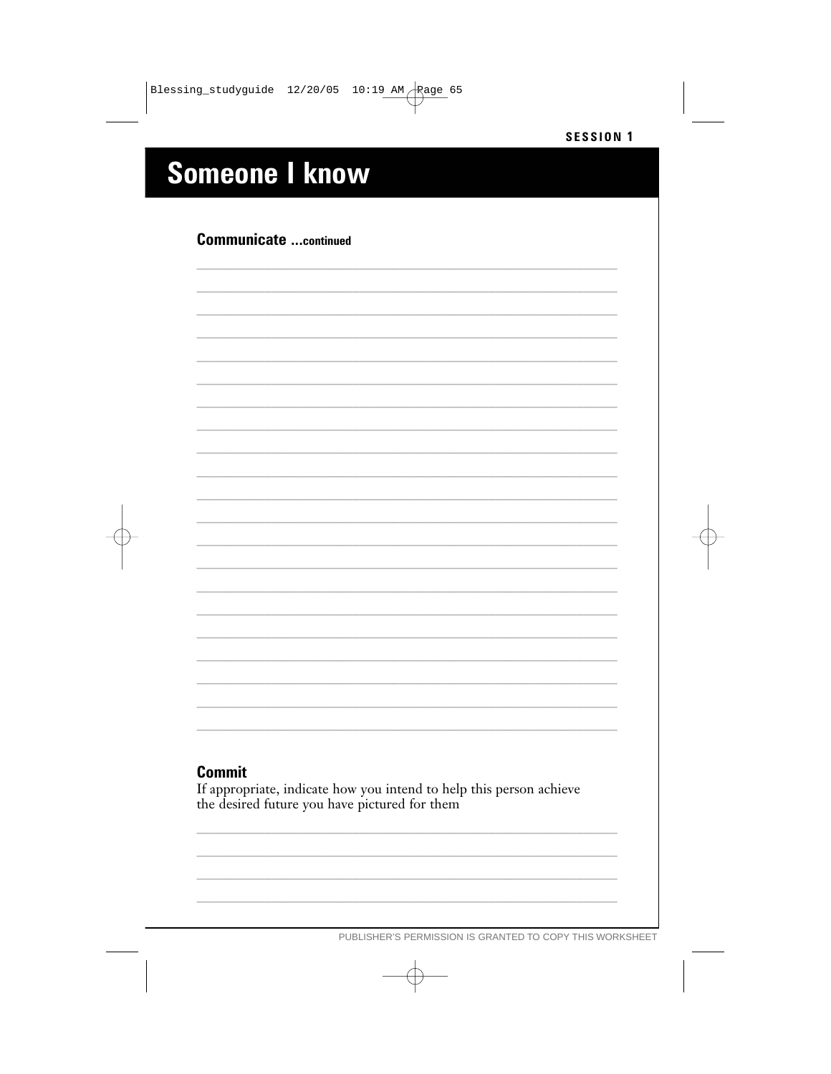# **Someone I know**

### **Communicate ...continued**

#### **Commit**

If appropriate, indicate how you intend to help this person achieve the desired future you have pictured for them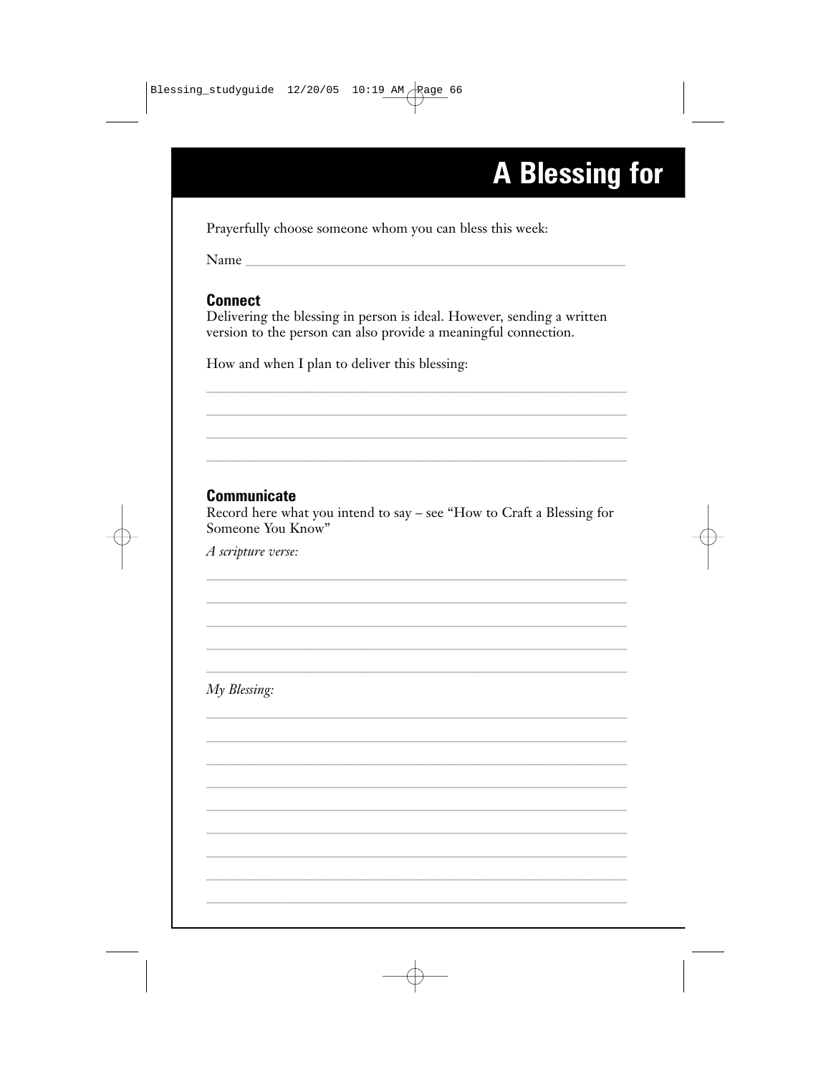# **A Blessing for**

Prayerfully choose someone whom you can bless this week:

Name

#### **Connect**

Delivering the blessing in person is ideal. However, sending a written version to the person can also provide a meaningful connection.

How and when I plan to deliver this blessing:

### **Communicate**

Record here what you intend to say - see "How to Craft a Blessing for Someone You Know"

A scripture verse:

My Blessing: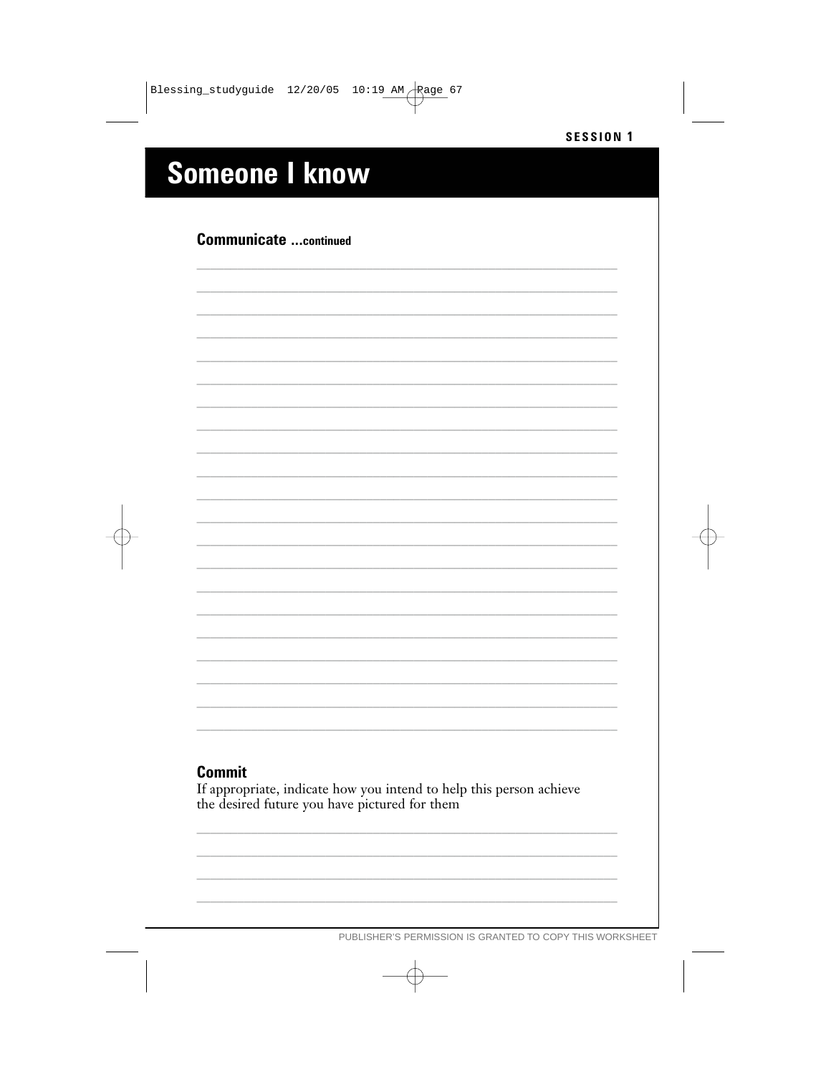# **Someone I know**

### **Communicate ...continued**

#### **Commit**

If appropriate, indicate how you intend to help this person achieve the desired future you have pictured for them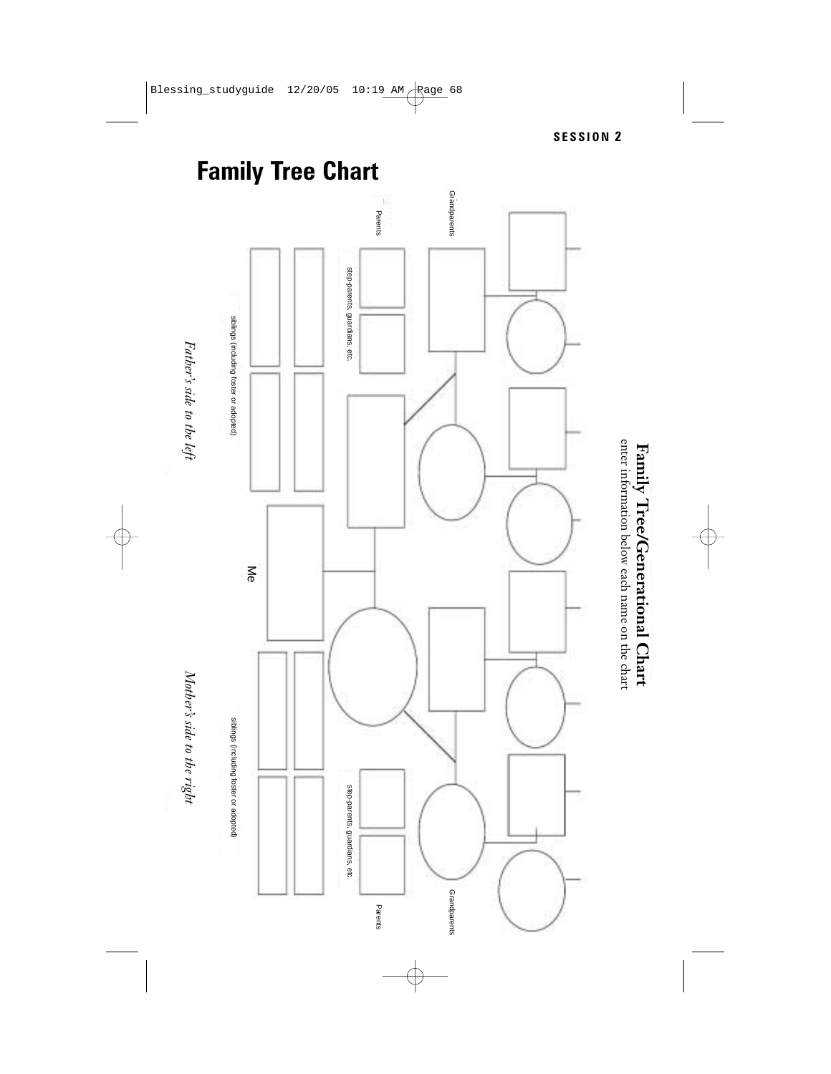

Father's side to the left *Father's side to the left*



**Family Tree/Generational Chart** enter information below each name on the chart

Family Tree/Generational Chart<br>entrinitionation below each name on the chart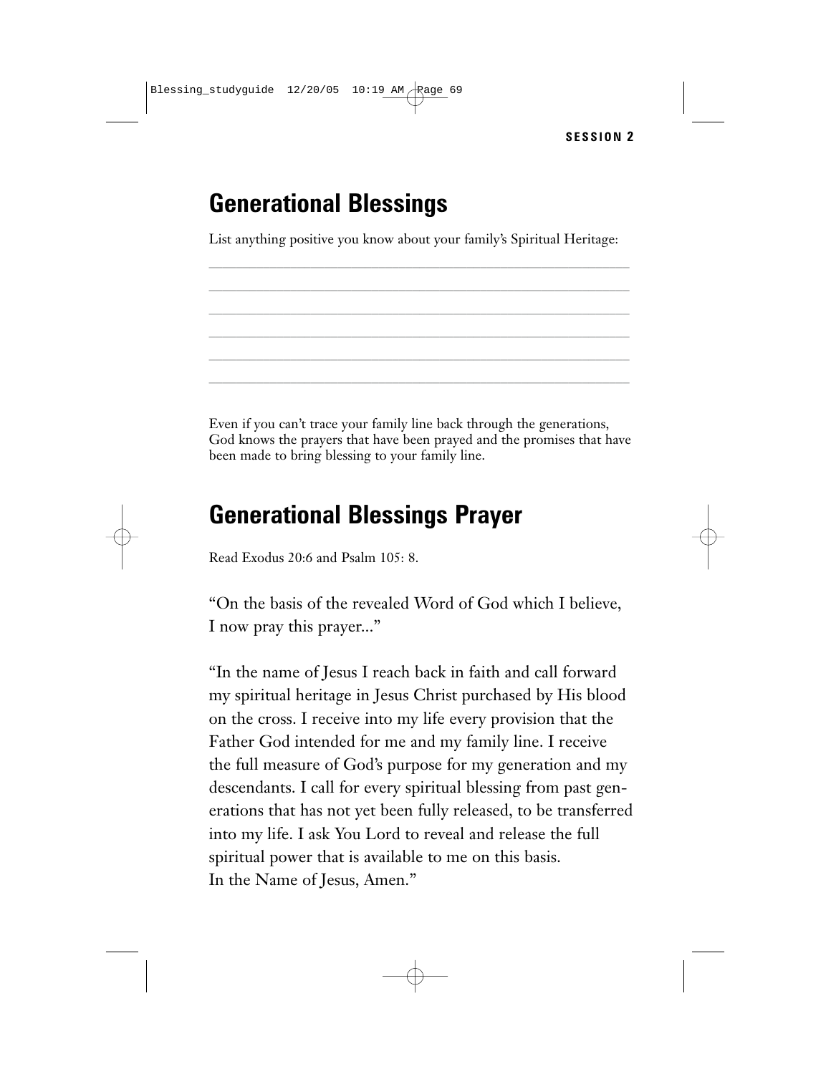# **Generational Blessings**

List anything positive you know about your family's Spiritual Heritage: \_\_\_\_\_\_\_\_\_\_\_\_\_\_\_\_\_\_\_\_\_\_\_\_\_\_\_\_\_\_\_\_\_\_\_\_\_\_\_\_\_\_\_\_\_\_\_\_\_\_\_\_\_\_\_\_\_\_\_\_\_\_

\_\_\_\_\_\_\_\_\_\_\_\_\_\_\_\_\_\_\_\_\_\_\_\_\_\_\_\_\_\_\_\_\_\_\_\_\_\_\_\_\_\_\_\_\_\_\_\_\_\_\_\_\_\_\_\_\_\_\_\_\_\_ \_\_\_\_\_\_\_\_\_\_\_\_\_\_\_\_\_\_\_\_\_\_\_\_\_\_\_\_\_\_\_\_\_\_\_\_\_\_\_\_\_\_\_\_\_\_\_\_\_\_\_\_\_\_\_\_\_\_\_\_\_\_ \_\_\_\_\_\_\_\_\_\_\_\_\_\_\_\_\_\_\_\_\_\_\_\_\_\_\_\_\_\_\_\_\_\_\_\_\_\_\_\_\_\_\_\_\_\_\_\_\_\_\_\_\_\_\_\_\_\_\_\_\_\_ \_\_\_\_\_\_\_\_\_\_\_\_\_\_\_\_\_\_\_\_\_\_\_\_\_\_\_\_\_\_\_\_\_\_\_\_\_\_\_\_\_\_\_\_\_\_\_\_\_\_\_\_\_\_\_\_\_\_\_\_\_\_ \_\_\_\_\_\_\_\_\_\_\_\_\_\_\_\_\_\_\_\_\_\_\_\_\_\_\_\_\_\_\_\_\_\_\_\_\_\_\_\_\_\_\_\_\_\_\_\_\_\_\_\_\_\_\_\_\_\_\_\_\_\_

Even if you can't trace your family line back through the generations, God knows the prayers that have been prayed and the promises that have been made to bring blessing to your family line.

## **Generational Blessings Prayer**

Read Exodus 20:6 and Psalm 105: 8.

"On the basis of the revealed Word of God which I believe, I now pray this prayer..."

"In the name of Jesus I reach back in faith and call forward my spiritual heritage in Jesus Christ purchased by His blood on the cross. I receive into my life every provision that the Father God intended for me and my family line. I receive the full measure of God's purpose for my generation and my descendants. I call for every spiritual blessing from past generations that has not yet been fully released, to be transferred into my life. I ask You Lord to reveal and release the full spiritual power that is available to me on this basis. In the Name of Jesus, Amen."